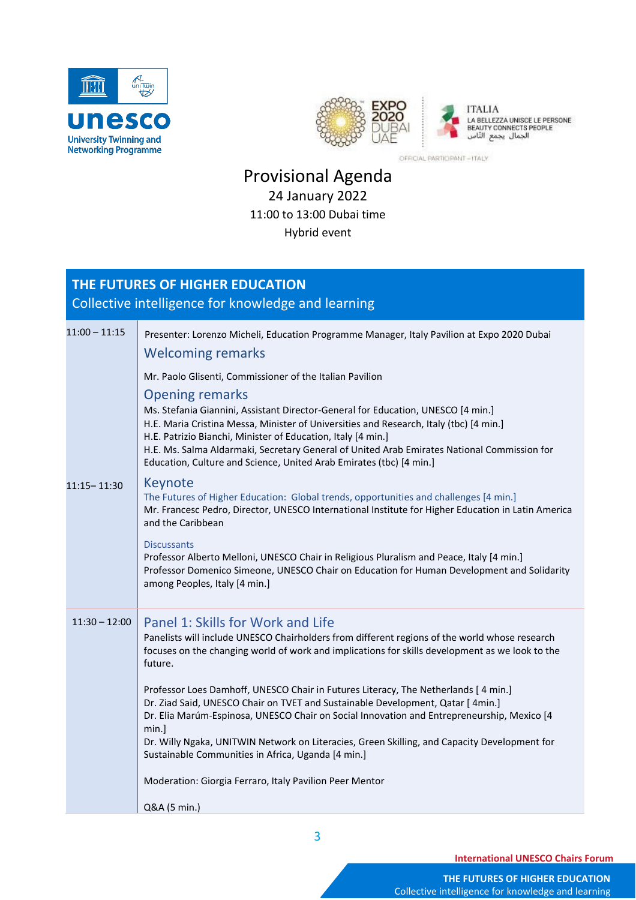



OFFICIAL PARTICIPANT-ITALY

## Provisional Agenda 24 January 2022 11:00 to 13:00 Dubai time Hybrid event

## **THE FUTURES OF HIGHER EDUCATION** Collective intelligence for knowledge and learning

| $11:00 - 11:15$ | Presenter: Lorenzo Micheli, Education Programme Manager, Italy Pavilion at Expo 2020 Dubai<br><b>Welcoming remarks</b>                                                                                                                                                                                                                                                                                                                                                                                                                                                                                                                                                                                                                                            |
|-----------------|-------------------------------------------------------------------------------------------------------------------------------------------------------------------------------------------------------------------------------------------------------------------------------------------------------------------------------------------------------------------------------------------------------------------------------------------------------------------------------------------------------------------------------------------------------------------------------------------------------------------------------------------------------------------------------------------------------------------------------------------------------------------|
|                 | Mr. Paolo Glisenti, Commissioner of the Italian Pavilion<br><b>Opening remarks</b><br>Ms. Stefania Giannini, Assistant Director-General for Education, UNESCO [4 min.]<br>H.E. Maria Cristina Messa, Minister of Universities and Research, Italy (tbc) [4 min.]<br>H.E. Patrizio Bianchi, Minister of Education, Italy [4 min.]<br>H.E. Ms. Salma Aldarmaki, Secretary General of United Arab Emirates National Commission for<br>Education, Culture and Science, United Arab Emirates (tbc) [4 min.]                                                                                                                                                                                                                                                            |
| 11:15 - 11:30   | Keynote<br>The Futures of Higher Education: Global trends, opportunities and challenges [4 min.]<br>Mr. Francesc Pedro, Director, UNESCO International Institute for Higher Education in Latin America<br>and the Caribbean<br><b>Discussants</b><br>Professor Alberto Melloni, UNESCO Chair in Religious Pluralism and Peace, Italy [4 min.]<br>Professor Domenico Simeone, UNESCO Chair on Education for Human Development and Solidarity<br>among Peoples, Italy [4 min.]                                                                                                                                                                                                                                                                                      |
| $11:30 - 12:00$ | Panel 1: Skills for Work and Life<br>Panelists will include UNESCO Chairholders from different regions of the world whose research<br>focuses on the changing world of work and implications for skills development as we look to the<br>future.<br>Professor Loes Damhoff, UNESCO Chair in Futures Literacy, The Netherlands [4 min.]<br>Dr. Ziad Said, UNESCO Chair on TVET and Sustainable Development, Qatar [ 4min.]<br>Dr. Elia Marúm-Espinosa, UNESCO Chair on Social Innovation and Entrepreneurship, Mexico [4<br>min.]<br>Dr. Willy Ngaka, UNITWIN Network on Literacies, Green Skilling, and Capacity Development for<br>Sustainable Communities in Africa, Uganda [4 min.]<br>Moderation: Giorgia Ferraro, Italy Pavilion Peer Mentor<br>Q&A (5 min.) |

**International UNESCO Chairs Forum**